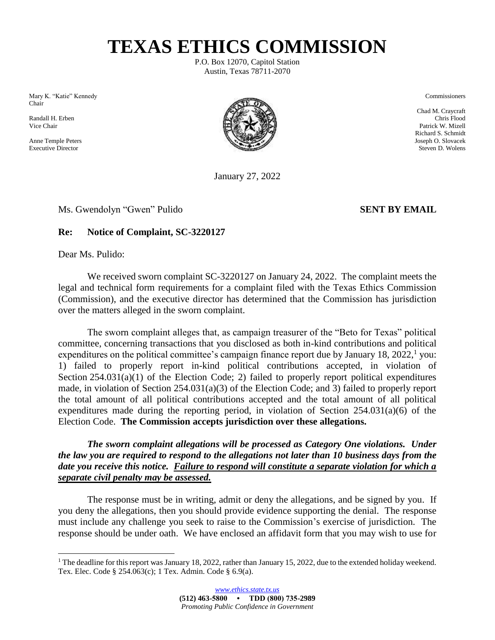**TEXAS ETHICS COMMISSION**

P.O. Box 12070, Capitol Station Austin, Texas 78711-2070

Mary K. "Katie" Kennedy Commissioners Chair

 $\overline{a}$ 



January 27, 2022

Ms. Gwendolyn "Gwen" Pulido **SENT BY EMAIL**

## **Re: Notice of Complaint, SC-3220127**

Dear Ms. Pulido:

We received sworn complaint SC-3220127 on January 24, 2022. The complaint meets the legal and technical form requirements for a complaint filed with the Texas Ethics Commission (Commission), and the executive director has determined that the Commission has jurisdiction over the matters alleged in the sworn complaint.

The sworn complaint alleges that, as campaign treasurer of the "Beto for Texas" political committee, concerning transactions that you disclosed as both in-kind contributions and political expenditures on the political committee's campaign finance report due by January 18, 2022,<sup>1</sup> you: 1) failed to properly report in-kind political contributions accepted, in violation of Section 254.031(a)(1) of the Election Code; 2) failed to properly report political expenditures made, in violation of Section 254.031(a)(3) of the Election Code; and 3) failed to properly report the total amount of all political contributions accepted and the total amount of all political expenditures made during the reporting period, in violation of Section 254.031(a)(6) of the Election Code. **The Commission accepts jurisdiction over these allegations.**

*The sworn complaint allegations will be processed as Category One violations. Under the law you are required to respond to the allegations not later than 10 business days from the date you receive this notice. Failure to respond will constitute a separate violation for which a separate civil penalty may be assessed.*

The response must be in writing, admit or deny the allegations, and be signed by you. If you deny the allegations, then you should provide evidence supporting the denial. The response must include any challenge you seek to raise to the Commission's exercise of jurisdiction. The response should be under oath. We have enclosed an affidavit form that you may wish to use for

Chad M. Craycraft Richard S. Schmidt

<sup>&</sup>lt;sup>1</sup> The deadline for this report was January 18, 2022, rather than January 15, 2022, due to the extended holiday weekend. Tex. Elec. Code § 254.063(c); 1 Tex. Admin. Code § 6.9(a).